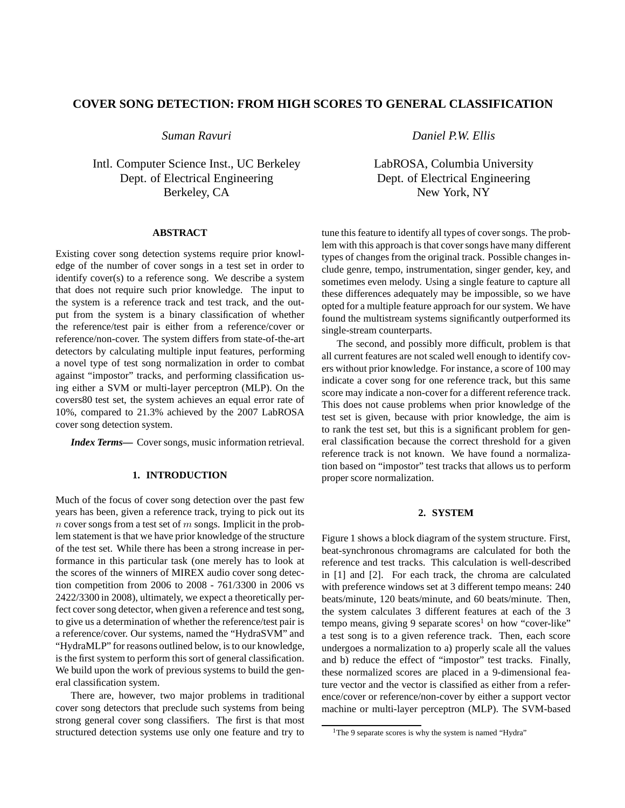# **COVER SONG DETECTION: FROM HIGH SCORES TO GENERAL CLASSIFICATION**

*Suman Ravuri*

Intl. Computer Science Inst., UC Berkeley Dept. of Electrical Engineering Berkeley, CA

### **ABSTRACT**

Existing cover song detection systems require prior knowledge of the number of cover songs in a test set in order to identify cover(s) to a reference song. We describe a system that does not require such prior knowledge. The input to the system is a reference track and test track, and the output from the system is a binary classification of whether the reference/test pair is either from a reference/cover or reference/non-cover. The system differs from state-of-the-art detectors by calculating multiple input features, performing a novel type of test song normalization in order to combat against "impostor" tracks, and performing classification using either a SVM or multi-layer perceptron (MLP). On the covers80 test set, the system achieves an equal error rate of 10%, compared to 21.3% achieved by the 2007 LabROSA cover song detection system.

*Index Terms***—** Cover songs, music information retrieval.

## **1. INTRODUCTION**

Much of the focus of cover song detection over the past few years has been, given a reference track, trying to pick out its  $n$  cover songs from a test set of  $m$  songs. Implicit in the problem statement is that we have prior knowledge of the structure of the test set. While there has been a strong increase in performance in this particular task (one merely has to look at the scores of the winners of MIREX audio cover song detection competition from 2006 to 2008 - 761/3300 in 2006 vs 2422/3300 in 2008), ultimately, we expect a theoretically perfect cover song detector, when given a reference and test song, to give us a determination of whether the reference/test pair is a reference/cover. Our systems, named the "HydraSVM" and "HydraMLP" for reasons outlined below, is to our knowledge, is the first system to perform this sort of general classification. We build upon the work of previous systems to build the general classification system.

There are, however, two major problems in traditional cover song detectors that preclude such systems from being strong general cover song classifiers. The first is that most structured detection systems use only one feature and try to

*Daniel P.W. Ellis*

LabROSA, Columbia University Dept. of Electrical Engineering New York, NY

tune this feature to identify all types of cover songs. The problem with this approach is that cover songs have many different types of changes from the original track. Possible changes include genre, tempo, instrumentation, singer gender, key, and sometimes even melody. Using a single feature to capture all these differences adequately may be impossible, so we have opted for a multiple feature approach for our system. We have found the multistream systems significantly outperformed its single-stream counterparts.

The second, and possibly more difficult, problem is that all current features are not scaled well enough to identify covers without prior knowledge. For instance, a score of 100 may indicate a cover song for one reference track, but this same score may indicate a non-cover for a different reference track. This does not cause problems when prior knowledge of the test set is given, because with prior knowledge, the aim is to rank the test set, but this is a significant problem for general classification because the correct threshold for a given reference track is not known. We have found a normalization based on "impostor" test tracks that allows us to perform proper score normalization.

## **2. SYSTEM**

Figure 1 shows a block diagram of the system structure. First, beat-synchronous chromagrams are calculated for both the reference and test tracks. This calculation is well-described in [1] and [2]. For each track, the chroma are calculated with preference windows set at 3 different tempo means: 240 beats/minute, 120 beats/minute, and 60 beats/minute. Then, the system calculates 3 different features at each of the 3 tempo means, giving 9 separate  $\text{score}^{-1}$  on how "cover-like" a test song is to a given reference track. Then, each score undergoes a normalization to a) properly scale all the values and b) reduce the effect of "impostor" test tracks. Finally, these normalized scores are placed in a 9-dimensional feature vector and the vector is classified as either from a reference/cover or reference/non-cover by either a support vector machine or multi-layer perceptron (MLP). The SVM-based

<sup>&</sup>lt;sup>1</sup>The 9 separate scores is why the system is named "Hydra"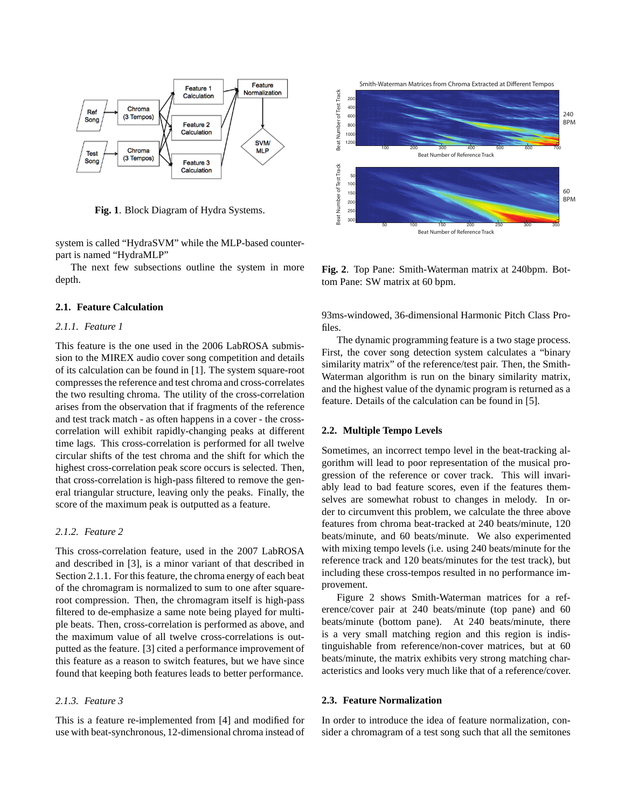

**Fig. 1**. Block Diagram of Hydra Systems.

system is called "HydraSVM" while the MLP-based counterpart is named "HydraMLP"

The next few subsections outline the system in more depth.

#### **2.1. Feature Calculation**

#### *2.1.1. Feature 1*

This feature is the one used in the 2006 LabROSA submission to the MIREX audio cover song competition and details of its calculation can be found in [1]. The system square-root compresses the reference and test chroma and cross-correlates the two resulting chroma. The utility of the cross-correlation arises from the observation that if fragments of the reference and test track match - as often happens in a cover - the crosscorrelation will exhibit rapidly-changing peaks at different time lags. This cross-correlation is performed for all twelve circular shifts of the test chroma and the shift for which the highest cross-correlation peak score occurs is selected. Then, that cross-correlation is high-pass filtered to remove the general triangular structure, leaving only the peaks. Finally, the score of the maximum peak is outputted as a feature.

## *2.1.2. Feature 2*

This cross-correlation feature, used in the 2007 LabROSA and described in [3], is a minor variant of that described in Section 2.1.1. For this feature, the chroma energy of each beat of the chromagram is normalized to sum to one after squareroot compression. Then, the chromagram itself is high-pass filtered to de-emphasize a same note being played for multiple beats. Then, cross-correlation is performed as above, and the maximum value of all twelve cross-correlations is outputted as the feature. [3] cited a performance improvement of this feature as a reason to switch features, but we have since found that keeping both features leads to better performance.

## *2.1.3. Feature 3*

This is a feature re-implemented from [4] and modified for use with beat-synchronous, 12-dimensional chroma instead of



**Fig. 2**. Top Pane: Smith-Waterman matrix at 240bpm. Bottom Pane: SW matrix at 60 bpm.

93ms-windowed, 36-dimensional Harmonic Pitch Class Profiles.

The dynamic programming feature is a two stage process. First, the cover song detection system calculates a "binary similarity matrix" of the reference/test pair. Then, the Smith-Waterman algorithm is run on the binary similarity matrix, and the highest value of the dynamic program is returned as a feature. Details of the calculation can be found in [5].

#### **2.2. Multiple Tempo Levels**

Sometimes, an incorrect tempo level in the beat-tracking algorithm will lead to poor representation of the musical progression of the reference or cover track. This will invariably lead to bad feature scores, even if the features themselves are somewhat robust to changes in melody. In order to circumvent this problem, we calculate the three above features from chroma beat-tracked at 240 beats/minute, 120 beats/minute, and 60 beats/minute. We also experimented with mixing tempo levels (i.e. using 240 beats/minute for the reference track and 120 beats/minutes for the test track), but including these cross-tempos resulted in no performance improvement.

Figure 2 shows Smith-Waterman matrices for a reference/cover pair at 240 beats/minute (top pane) and 60 beats/minute (bottom pane). At 240 beats/minute, there is a very small matching region and this region is indistinguishable from reference/non-cover matrices, but at 60 beats/minute, the matrix exhibits very strong matching characteristics and looks very much like that of a reference/cover.

## **2.3. Feature Normalization**

In order to introduce the idea of feature normalization, consider a chromagram of a test song such that all the semitones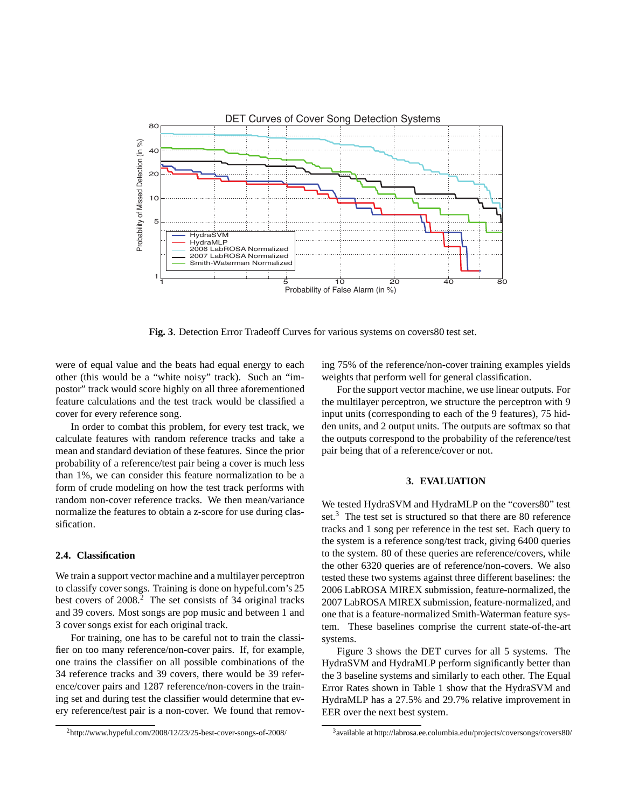

**Fig. 3**. Detection Error Tradeoff Curves for various systems on covers80 test set.

were of equal value and the beats had equal energy to each other (this would be a "white noisy" track). Such an "impostor" track would score highly on all three aforementioned feature calculations and the test track would be classified a cover for every reference song.

In order to combat this problem, for every test track, we calculate features with random reference tracks and take a mean and standard deviation of these features. Since the prior probability of a reference/test pair being a cover is much less than 1%, we can consider this feature normalization to be a form of crude modeling on how the test track performs with random non-cover reference tracks. We then mean/variance normalize the features to obtain a z-score for use during classification.

## **2.4. Classification**

We train a support vector machine and a multilayer perceptron to classify cover songs. Training is done on hypeful.com's 25 best covers of 2008.<sup>2</sup> The set consists of 34 original tracks and 39 covers. Most songs are pop music and between 1 and 3 cover songs exist for each original track.

For training, one has to be careful not to train the classifier on too many reference/non-cover pairs. If, for example, one trains the classifier on all possible combinations of the 34 reference tracks and 39 covers, there would be 39 reference/cover pairs and 1287 reference/non-covers in the training set and during test the classifier would determine that every reference/test pair is a non-cover. We found that removing 75% of the reference/non-cover training examples yields weights that perform well for general classification.

For the support vector machine, we use linear outputs. For the multilayer perceptron, we structure the perceptron with 9 input units (corresponding to each of the 9 features), 75 hidden units, and 2 output units. The outputs are softmax so that the outputs correspond to the probability of the reference/test pair being that of a reference/cover or not.

## **3. EVALUATION**

We tested HydraSVM and HydraMLP on the "covers80" test set.<sup>3</sup> The test set is structured so that there are 80 reference tracks and 1 song per reference in the test set. Each query to the system is a reference song/test track, giving 6400 queries to the system. 80 of these queries are reference/covers, while the other 6320 queries are of reference/non-covers. We also tested these two systems against three different baselines: the 2006 LabROSA MIREX submission, feature-normalized, the 2007 LabROSA MIREX submission, feature-normalized, and one that is a feature-normalized Smith-Waterman feature system. These baselines comprise the current state-of-the-art systems.

Figure 3 shows the DET curves for all 5 systems. The HydraSVM and HydraMLP perform significantly better than the 3 baseline systems and similarly to each other. The Equal Error Rates shown in Table 1 show that the HydraSVM and HydraMLP has a 27.5% and 29.7% relative improvement in EER over the next best system.

<sup>2</sup>http://www.hypeful.com/2008/12/23/25-best-cover-songs-of-2008/

<sup>3</sup> available at http://labrosa.ee.columbia.edu/projects/coversongs/covers80/